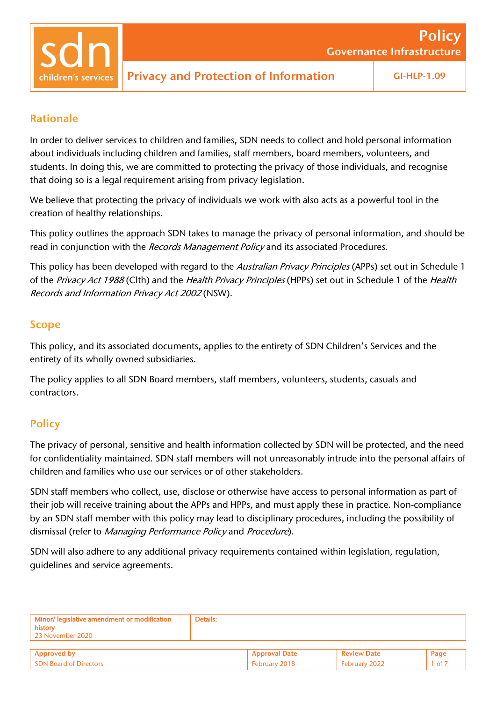Governance Infrastructure

Policy

### Rationale

In order to deliver services to children and families, SDN needs to collect and hold personal information about individuals including children and families, staff members, board members, volunteers, and students. In doing this, we are committed to protecting the privacy of those individuals, and recognise that doing so is a legal requirement arising from privacy legislation.

We believe that protecting the privacy of individuals we work with also acts as a powerful tool in the creation of healthy relationships.

This policy outlines the approach SDN takes to manage the privacy of personal information, and should be read in conjunction with the Records Management Policy and its associated Procedures.

This policy has been developed with regard to the Australian Privacy Principles (APPs) set out in Schedule 1 of the Privacy Act 1988 (Clth) and the Health Privacy Principles (HPPs) set out in Schedule 1 of the Health Records and Information Privacy Act <sup>2002</sup> (NSW).

### Scope

This policy, and its associated documents, applies to the entirety of SDN Children's Services and the entirety of its wholly owned subsidiaries.

The policy applies to all SDN Board members, staff members, volunteers, students, casuals and contractors.

## **Policy**

The privacy of personal, sensitive and health information collected by SDN will be protected, and the need for confidentiality maintained. SDN staff members will not unreasonably intrude into the personal affairs of children and families who use our services or of other stakeholders.

SDN staff members who collect, use, disclose or otherwise have access to personal information as part of their job will receive training about the APPs and HPPs, and must apply these in practice. Non-compliance by an SDN staff member with this policy may lead to disciplinary procedures, including the possibility of dismissal (refer to Managing Performance Policy and Procedure).

SDN will also adhere to any additional privacy requirements contained within legislation, regulation, guidelines and service agreements.

| Minor/ legislative amendment or modification<br>history<br>23 November 2020 | Details: |                      |                    |            |
|-----------------------------------------------------------------------------|----------|----------------------|--------------------|------------|
|                                                                             |          |                      |                    |            |
| <b>Approved by</b>                                                          |          | <b>Approval Date</b> | <b>Review Date</b> | Page       |
| <b>SDN Board of Directors</b>                                               |          | February 2018        | February 2022      | $1$ of $7$ |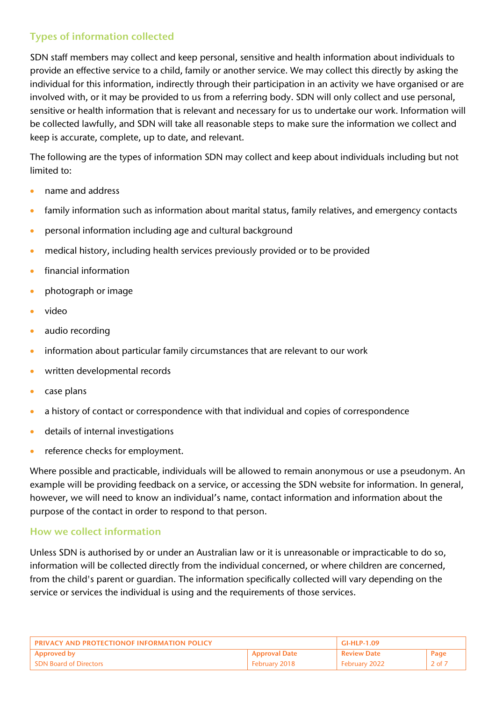# Types of information collected

SDN staff members may collect and keep personal, sensitive and health information about individuals to provide an effective service to a child, family or another service. We may collect this directly by asking the individual for this information, indirectly through their participation in an activity we have organised or are involved with, or it may be provided to us from a referring body. SDN will only collect and use personal, sensitive or health information that is relevant and necessary for us to undertake our work. Information will be collected lawfully, and SDN will take all reasonable steps to make sure the information we collect and keep is accurate, complete, up to date, and relevant.

The following are the types of information SDN may collect and keep about individuals including but not limited to:

- name and address
- family information such as information about marital status, family relatives, and emergency contacts
- personal information including age and cultural background
- medical history, including health services previously provided or to be provided
- financial information
- photograph or image
- video
- audio recording
- information about particular family circumstances that are relevant to our work
- written developmental records
- case plans
- a history of contact or correspondence with that individual and copies of correspondence
- details of internal investigations
- reference checks for employment.

Where possible and practicable, individuals will be allowed to remain anonymous or use a pseudonym. An example will be providing feedback on a service, or accessing the SDN website for information. In general, however, we will need to know an individual's name, contact information and information about the purpose of the contact in order to respond to that person.

#### How we collect information

Unless SDN is authorised by or under an Australian law or it is unreasonable or impracticable to do so, information will be collected directly from the individual concerned, or where children are concerned, from the child's parent or guardian. The information specifically collected will vary depending on the service or services the individual is using and the requirements of those services.

| <b>PRIVACY AND PROTECTIONOF INFORMATION POLICY</b> |                      | GI-HLP-1.09        |                 |
|----------------------------------------------------|----------------------|--------------------|-----------------|
| <b>Approved by</b>                                 | <b>Approval Date</b> | <b>Review Date</b> | Page            |
| <b>SDN Board of Directors</b>                      | February 2018        | Februarv 2022      | $2 \text{ of }$ |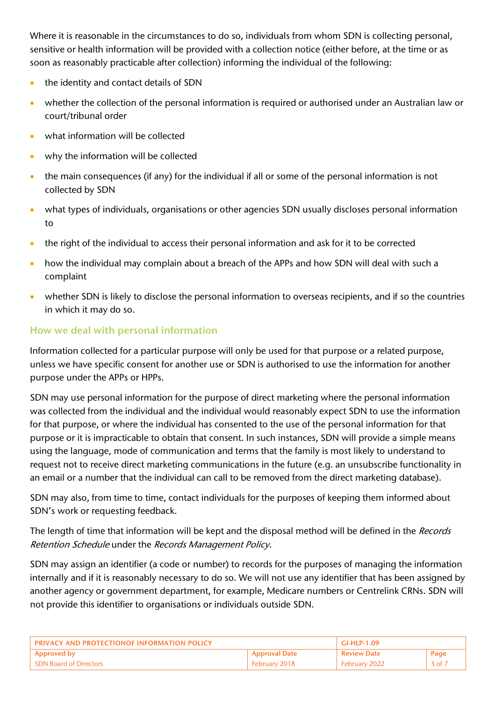Where it is reasonable in the circumstances to do so, individuals from whom SDN is collecting personal, sensitive or health information will be provided with a collection notice (either before, at the time or as soon as reasonably practicable after collection) informing the individual of the following:

- the identity and contact details of SDN
- whether the collection of the personal information is required or authorised under an Australian law or court/tribunal order
- what information will be collected
- why the information will be collected
- the main consequences (if any) for the individual if all or some of the personal information is not collected by SDN
- what types of individuals, organisations or other agencies SDN usually discloses personal information to
- the right of the individual to access their personal information and ask for it to be corrected
- how the individual may complain about a breach of the APPs and how SDN will deal with such a complaint
- whether SDN is likely to disclose the personal information to overseas recipients, and if so the countries in which it may do so.

## How we deal with personal information

Information collected for a particular purpose will only be used for that purpose or a related purpose, unless we have specific consent for another use or SDN is authorised to use the information for another purpose under the APPs or HPPs.

SDN may use personal information for the purpose of direct marketing where the personal information was collected from the individual and the individual would reasonably expect SDN to use the information for that purpose, or where the individual has consented to the use of the personal information for that purpose or it is impracticable to obtain that consent. In such instances, SDN will provide a simple means using the language, mode of communication and terms that the family is most likely to understand to request not to receive direct marketing communications in the future (e.g. an unsubscribe functionality in an email or a number that the individual can call to be removed from the direct marketing database).

SDN may also, from time to time, contact individuals for the purposes of keeping them informed about SDN's work or requesting feedback.

The length of time that information will be kept and the disposal method will be defined in the Records Retention Schedule under the Records Management Policy.

SDN may assign an identifier (a code or number) to records for the purposes of managing the information internally and if it is reasonably necessary to do so. We will not use any identifier that has been assigned by another agency or government department, for example, Medicare numbers or Centrelink CRNs. SDN will not provide this identifier to organisations or individuals outside SDN.

| PRIVACY AND PROTECTIONOF INFORMATION POLICY |                 | GI-HLP-1.09        |                       |
|---------------------------------------------|-----------------|--------------------|-----------------------|
| Approved by                                 | ' Approval Date | <b>Review Date</b> | Page                  |
| <b>SDN Board of Directors</b>               | February 2018   | February 2022      | $3$ of $\overline{7}$ |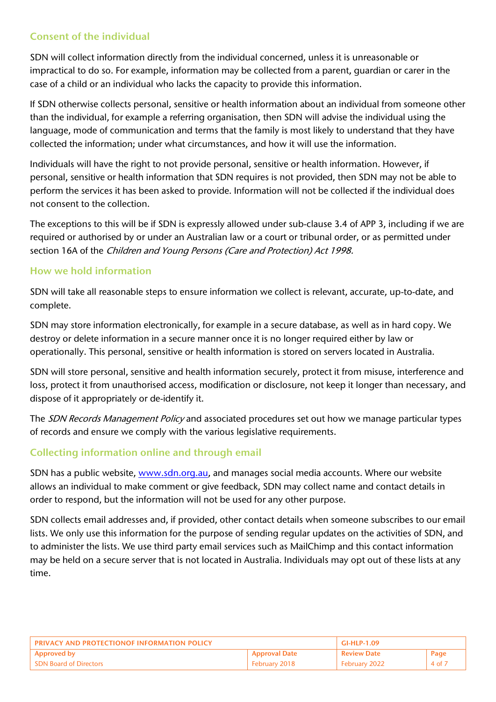## Consent of the individual

SDN will collect information directly from the individual concerned, unless it is unreasonable or impractical to do so. For example, information may be collected from a parent, guardian or carer in the case of a child or an individual who lacks the capacity to provide this information.

If SDN otherwise collects personal, sensitive or health information about an individual from someone other than the individual, for example a referring organisation, then SDN will advise the individual using the language, mode of communication and terms that the family is most likely to understand that they have collected the information; under what circumstances, and how it will use the information.

Individuals will have the right to not provide personal, sensitive or health information. However, if personal, sensitive or health information that SDN requires is not provided, then SDN may not be able to perform the services it has been asked to provide. Information will not be collected if the individual does not consent to the collection.

The exceptions to this will be if SDN is expressly allowed under sub-clause 3.4 of APP 3, including if we are required or authorised by or under an Australian law or a court or tribunal order, or as permitted under section 16A of the Children and Young Persons (Care and Protection) Act 1998.

### How we hold information

SDN will take all reasonable steps to ensure information we collect is relevant, accurate, up-to-date, and complete.

SDN may store information electronically, for example in a secure database, as well as in hard copy. We destroy or delete information in a secure manner once it is no longer required either by law or operationally. This personal, sensitive or health information is stored on servers located in Australia.

SDN will store personal, sensitive and health information securely, protect it from misuse, interference and loss, protect it from unauthorised access, modification or disclosure, not keep it longer than necessary, and dispose of it appropriately or de-identify it.

The SDN Records Management Policy and associated procedures set out how we manage particular types of records and ensure we comply with the various legislative requirements.

## Collecting information online and through email

SDN has a public website, [www.sdn.org.au,](http://www.sdn.org.au/) and manages social media accounts. Where our website allows an individual to make comment or give feedback, SDN may collect name and contact details in order to respond, but the information will not be used for any other purpose.

SDN collects email addresses and, if provided, other contact details when someone subscribes to our email lists. We only use this information for the purpose of sending regular updates on the activities of SDN, and to administer the lists. We use third party email services such as MailChimp and this contact information may be held on a secure server that is not located in Australia. Individuals may opt out of these lists at any time.

| <b>PRIVACY AND PROTECTIONOF INFORMATION POLICY</b> |                      | GI-HLP-1.09        |      |
|----------------------------------------------------|----------------------|--------------------|------|
| <b>Approved by</b>                                 | <b>Approval Date</b> | <b>Review Date</b> | Page |
| <b>SDN Board of Directors</b>                      | February 2018        | February 2022      | 4 of |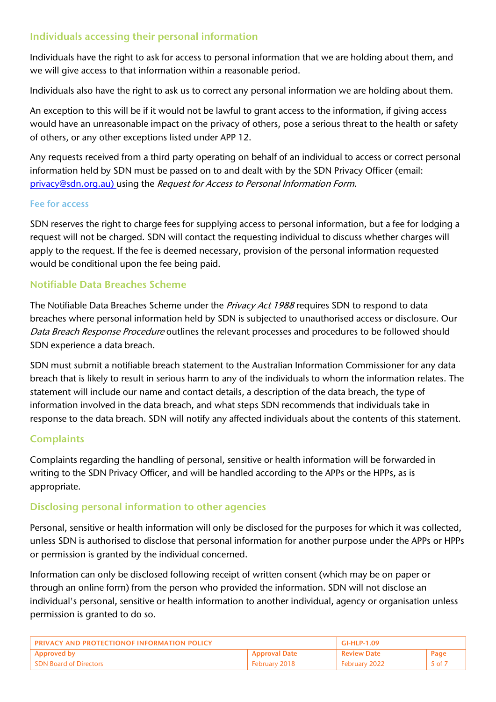## Individuals accessing their personal information

Individuals have the right to ask for access to personal information that we are holding about them, and we will give access to that information within a reasonable period.

Individuals also have the right to ask us to correct any personal information we are holding about them.

An exception to this will be if it would not be lawful to grant access to the information, if giving access would have an unreasonable impact on the privacy of others, pose a serious threat to the health or safety of others, or any other exceptions listed under APP 12.

Any requests received from a third party operating on behalf of an individual to access or correct personal information held by SDN must be passed on to and dealt with by the SDN Privacy Officer (email: [privacy@sdn.org.au\)](mailto:privacy@sdn.org.au) using the Request for Access to Personal Information Form.

#### Fee for access

SDN reserves the right to charge fees for supplying access to personal information, but a fee for lodging a request will not be charged. SDN will contact the requesting individual to discuss whether charges will apply to the request. If the fee is deemed necessary, provision of the personal information requested would be conditional upon the fee being paid.

### Notifiable Data Breaches Scheme

The Notifiable Data Breaches Scheme under the Privacy Act 1988 requires SDN to respond to data breaches where personal information held by SDN is subjected to unauthorised access or disclosure. Our Data Breach Response Procedure outlines the relevant processes and procedures to be followed should SDN experience a data breach.

SDN must submit a notifiable breach statement to the Australian Information Commissioner for any data breach that is likely to result in serious harm to any of the individuals to whom the information relates. The statement will include our name and contact details, a description of the data breach, the type of information involved in the data breach, and what steps SDN recommends that individuals take in response to the data breach. SDN will notify any affected individuals about the contents of this statement.

### **Complaints**

Complaints regarding the handling of personal, sensitive or health information will be forwarded in writing to the SDN Privacy Officer, and will be handled according to the APPs or the HPPs, as is appropriate.

### Disclosing personal information to other agencies

Personal, sensitive or health information will only be disclosed for the purposes for which it was collected, unless SDN is authorised to disclose that personal information for another purpose under the APPs or HPPs or permission is granted by the individual concerned.

Information can only be disclosed following receipt of written consent (which may be on paper or through an online form) from the person who provided the information. SDN will not disclose an individual's personal, sensitive or health information to another individual, agency or organisation unless permission is granted to do so.

| <b>PRIVACY AND PROTECTIONOF INFORMATION POLICY</b> |                      | GI-HLP-1.09        |      |
|----------------------------------------------------|----------------------|--------------------|------|
| <b>Approved by</b>                                 | <b>Approval Date</b> | <b>Review Date</b> | Page |
| <b>SDN Board of Directors</b>                      | February 2018        | February 2022      | 5 of |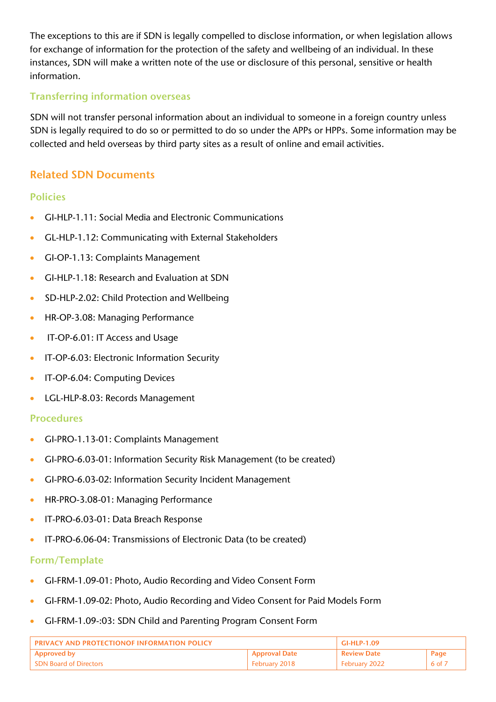The exceptions to this are if SDN is legally compelled to disclose information, or when legislation allows for exchange of information for the protection of the safety and wellbeing of an individual. In these instances, SDN will make a written note of the use or disclosure of this personal, sensitive or health information.

### Transferring information overseas

SDN will not transfer personal information about an individual to someone in a foreign country unless SDN is legally required to do so or permitted to do so under the APPs or HPPs. Some information may be collected and held overseas by third party sites as a result of online and email activities.

## Related SDN Documents

#### Policies

- GI-HLP-1.11: Social Media and Electronic Communications
- GL-HLP-1.12: Communicating with External Stakeholders
- GI-OP-1.13: Complaints Management
- GI-HLP-1.18: Research and Evaluation at SDN
- SD-HLP-2.02: Child Protection and Wellbeing
- HR-OP-3.08: Managing Performance
- IT-OP-6.01: IT Access and Usage
- IT-OP-6.03: Electronic Information Security
- IT-OP-6.04: Computing Devices
- LGL-HLP-8.03: Records Management

#### Procedures

- GI-PRO-1.13-01: Complaints Management
- GI-PRO-6.03-01: Information Security Risk Management (to be created)
- GI-PRO-6.03-02: Information Security Incident Management
- HR-PRO-3.08-01: Managing Performance
- IT-PRO-6.03-01: Data Breach Response
- IT-PRO-6.06-04: Transmissions of Electronic Data (to be created)

### Form/Template

- GI-FRM-1.09-01: Photo, Audio Recording and Video Consent Form
- GI-FRM-1.09-02: Photo, Audio Recording and Video Consent for Paid Models Form
- GI-FRM-1.09-:03: SDN Child and Parenting Program Consent Form

| <b>PRIVACY AND PROTECTIONOF INFORMATION POLICY</b> |                      | $GLHI P-1.09$        |        |
|----------------------------------------------------|----------------------|----------------------|--------|
| <b>Approved by</b>                                 | <b>Approval Date</b> | <b>Review Date</b>   | Page   |
| <b>SDN Board of Directors</b>                      | February 2018        | <b>February 2022</b> | 6 of 7 |